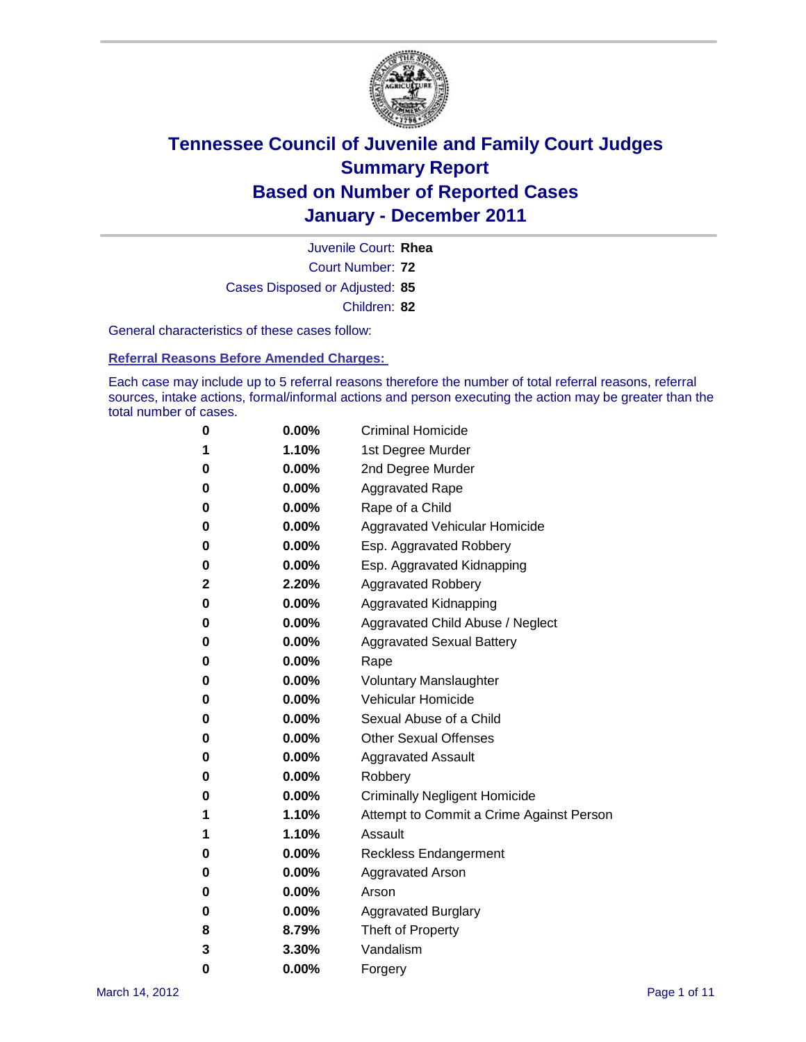

Court Number: **72** Juvenile Court: **Rhea** Cases Disposed or Adjusted: **85** Children: **82**

General characteristics of these cases follow:

**Referral Reasons Before Amended Charges:** 

Each case may include up to 5 referral reasons therefore the number of total referral reasons, referral sources, intake actions, formal/informal actions and person executing the action may be greater than the total number of cases.

| 0 | $0.00\%$ | <b>Criminal Homicide</b>                 |
|---|----------|------------------------------------------|
| 1 | 1.10%    | 1st Degree Murder                        |
| 0 | $0.00\%$ | 2nd Degree Murder                        |
| 0 | $0.00\%$ | <b>Aggravated Rape</b>                   |
| 0 | $0.00\%$ | Rape of a Child                          |
| 0 | $0.00\%$ | <b>Aggravated Vehicular Homicide</b>     |
| 0 | $0.00\%$ | Esp. Aggravated Robbery                  |
| 0 | $0.00\%$ | Esp. Aggravated Kidnapping               |
| 2 | 2.20%    | <b>Aggravated Robbery</b>                |
| 0 | $0.00\%$ | Aggravated Kidnapping                    |
| 0 | $0.00\%$ | Aggravated Child Abuse / Neglect         |
| 0 | 0.00%    | <b>Aggravated Sexual Battery</b>         |
| 0 | $0.00\%$ | Rape                                     |
| 0 | $0.00\%$ | <b>Voluntary Manslaughter</b>            |
| 0 | $0.00\%$ | Vehicular Homicide                       |
| 0 | $0.00\%$ | Sexual Abuse of a Child                  |
| 0 | $0.00\%$ | <b>Other Sexual Offenses</b>             |
| 0 | $0.00\%$ | <b>Aggravated Assault</b>                |
| 0 | 0.00%    | Robbery                                  |
| 0 | $0.00\%$ | <b>Criminally Negligent Homicide</b>     |
| 1 | 1.10%    | Attempt to Commit a Crime Against Person |
| 1 | 1.10%    | Assault                                  |
| 0 | $0.00\%$ | <b>Reckless Endangerment</b>             |
| 0 | $0.00\%$ | <b>Aggravated Arson</b>                  |
| 0 | $0.00\%$ | Arson                                    |
| 0 | $0.00\%$ | <b>Aggravated Burglary</b>               |
| 8 | 8.79%    | Theft of Property                        |
| 3 | 3.30%    | Vandalism                                |
| 0 | 0.00%    | Forgery                                  |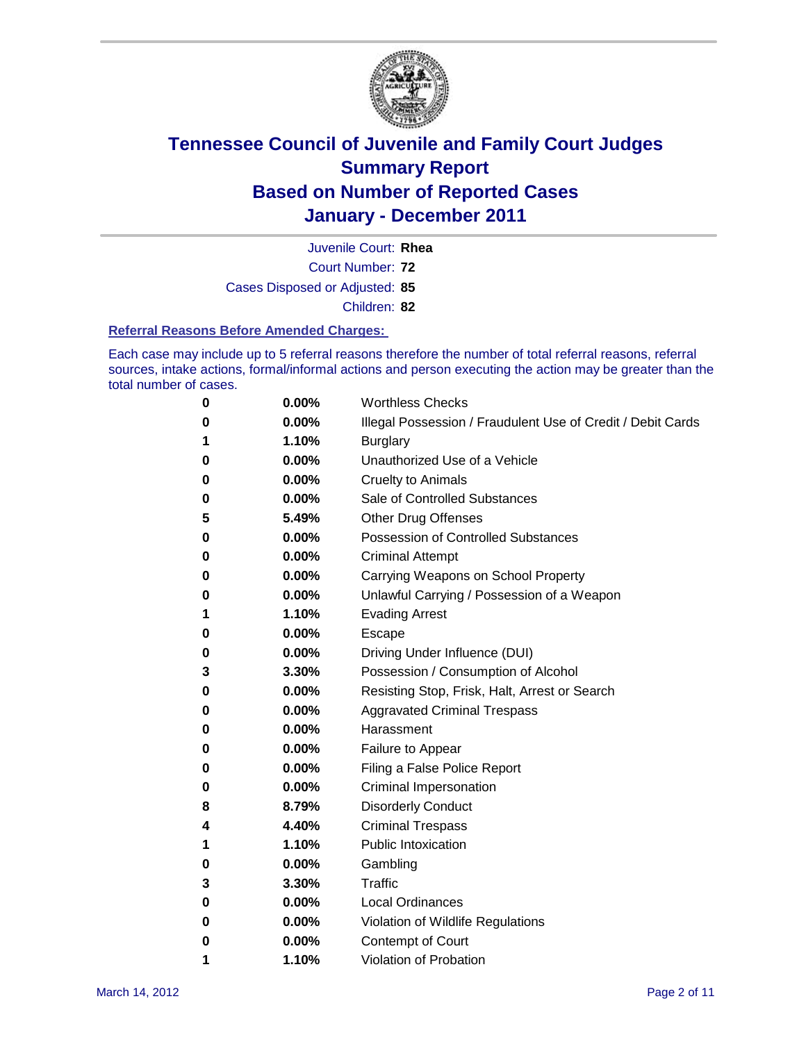

Court Number: **72** Juvenile Court: **Rhea** Cases Disposed or Adjusted: **85** Children: **82**

**Referral Reasons Before Amended Charges:** 

Each case may include up to 5 referral reasons therefore the number of total referral reasons, referral sources, intake actions, formal/informal actions and person executing the action may be greater than the total number of cases.

| $\bf{0}$ | 0.00% | <b>Worthless Checks</b>                                     |
|----------|-------|-------------------------------------------------------------|
| 0        | 0.00% | Illegal Possession / Fraudulent Use of Credit / Debit Cards |
| 1        | 1.10% | <b>Burglary</b>                                             |
| 0        | 0.00% | Unauthorized Use of a Vehicle                               |
| 0        | 0.00% | <b>Cruelty to Animals</b>                                   |
| 0        | 0.00% | Sale of Controlled Substances                               |
| 5        | 5.49% | <b>Other Drug Offenses</b>                                  |
| 0        | 0.00% | Possession of Controlled Substances                         |
| 0        | 0.00% | <b>Criminal Attempt</b>                                     |
| 0        | 0.00% | Carrying Weapons on School Property                         |
| 0        | 0.00% | Unlawful Carrying / Possession of a Weapon                  |
| 1        | 1.10% | <b>Evading Arrest</b>                                       |
| 0        | 0.00% | Escape                                                      |
| 0        | 0.00% | Driving Under Influence (DUI)                               |
| 3        | 3.30% | Possession / Consumption of Alcohol                         |
| 0        | 0.00% | Resisting Stop, Frisk, Halt, Arrest or Search               |
| 0        | 0.00% | <b>Aggravated Criminal Trespass</b>                         |
| 0        | 0.00% | Harassment                                                  |
| 0        | 0.00% | Failure to Appear                                           |
| 0        | 0.00% | Filing a False Police Report                                |
| 0        | 0.00% | Criminal Impersonation                                      |
| 8        | 8.79% | <b>Disorderly Conduct</b>                                   |
| 4        | 4.40% | <b>Criminal Trespass</b>                                    |
| 1        | 1.10% | <b>Public Intoxication</b>                                  |
| 0        | 0.00% | Gambling                                                    |
| 3        | 3.30% | Traffic                                                     |
| 0        | 0.00% | <b>Local Ordinances</b>                                     |
| 0        | 0.00% | Violation of Wildlife Regulations                           |
| 0        | 0.00% | Contempt of Court                                           |
| 1        | 1.10% | Violation of Probation                                      |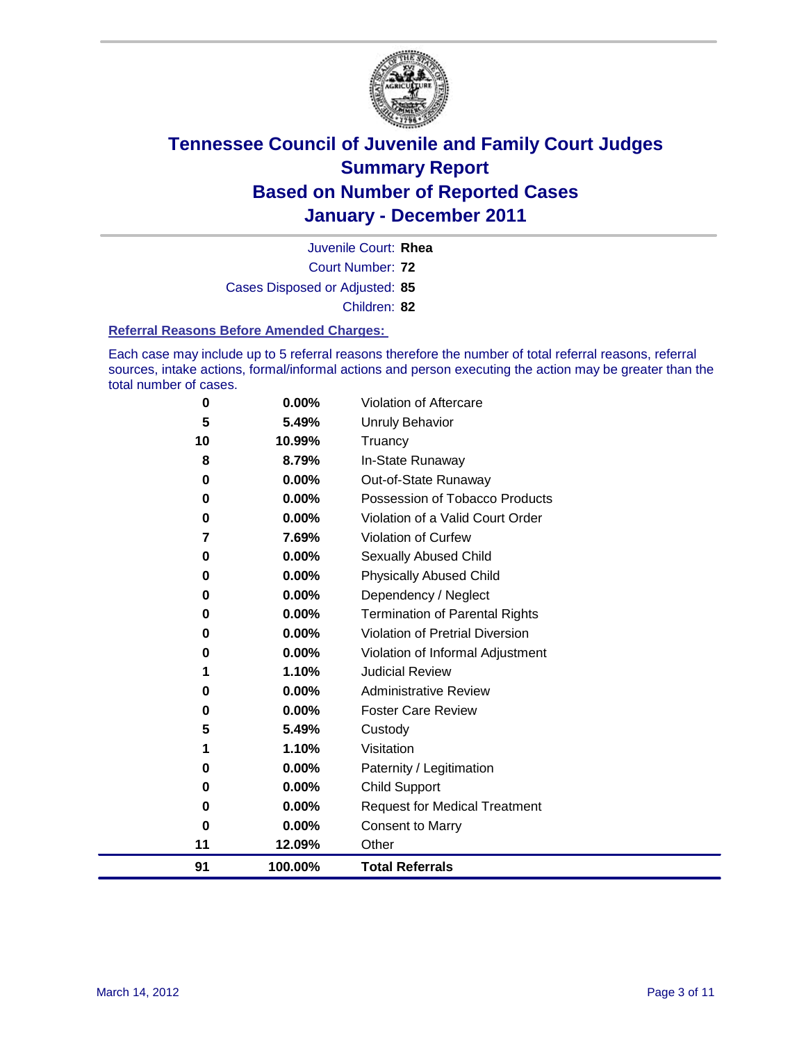

Court Number: **72** Juvenile Court: **Rhea** Cases Disposed or Adjusted: **85** Children: **82**

#### **Referral Reasons Before Amended Charges:**

Each case may include up to 5 referral reasons therefore the number of total referral reasons, referral sources, intake actions, formal/informal actions and person executing the action may be greater than the total number of cases.

| 0  | 0.00%   | Violation of Aftercare                 |
|----|---------|----------------------------------------|
| 5  | 5.49%   | <b>Unruly Behavior</b>                 |
| 10 | 10.99%  | Truancy                                |
| 8  | 8.79%   | In-State Runaway                       |
| 0  | 0.00%   | Out-of-State Runaway                   |
| 0  | 0.00%   | Possession of Tobacco Products         |
| 0  | 0.00%   | Violation of a Valid Court Order       |
| 7  | 7.69%   | Violation of Curfew                    |
| 0  | 0.00%   | Sexually Abused Child                  |
| 0  | 0.00%   | <b>Physically Abused Child</b>         |
| 0  | 0.00%   | Dependency / Neglect                   |
| 0  | 0.00%   | <b>Termination of Parental Rights</b>  |
| 0  | 0.00%   | <b>Violation of Pretrial Diversion</b> |
| 0  | 0.00%   | Violation of Informal Adjustment       |
| 1  | 1.10%   | <b>Judicial Review</b>                 |
| 0  | 0.00%   | <b>Administrative Review</b>           |
| 0  | 0.00%   | <b>Foster Care Review</b>              |
| 5  | 5.49%   | Custody                                |
| 1  | 1.10%   | Visitation                             |
| 0  | 0.00%   | Paternity / Legitimation               |
| 0  | 0.00%   | <b>Child Support</b>                   |
| 0  | 0.00%   | <b>Request for Medical Treatment</b>   |
| 0  | 0.00%   | <b>Consent to Marry</b>                |
| 11 | 12.09%  | Other                                  |
| 91 | 100.00% | <b>Total Referrals</b>                 |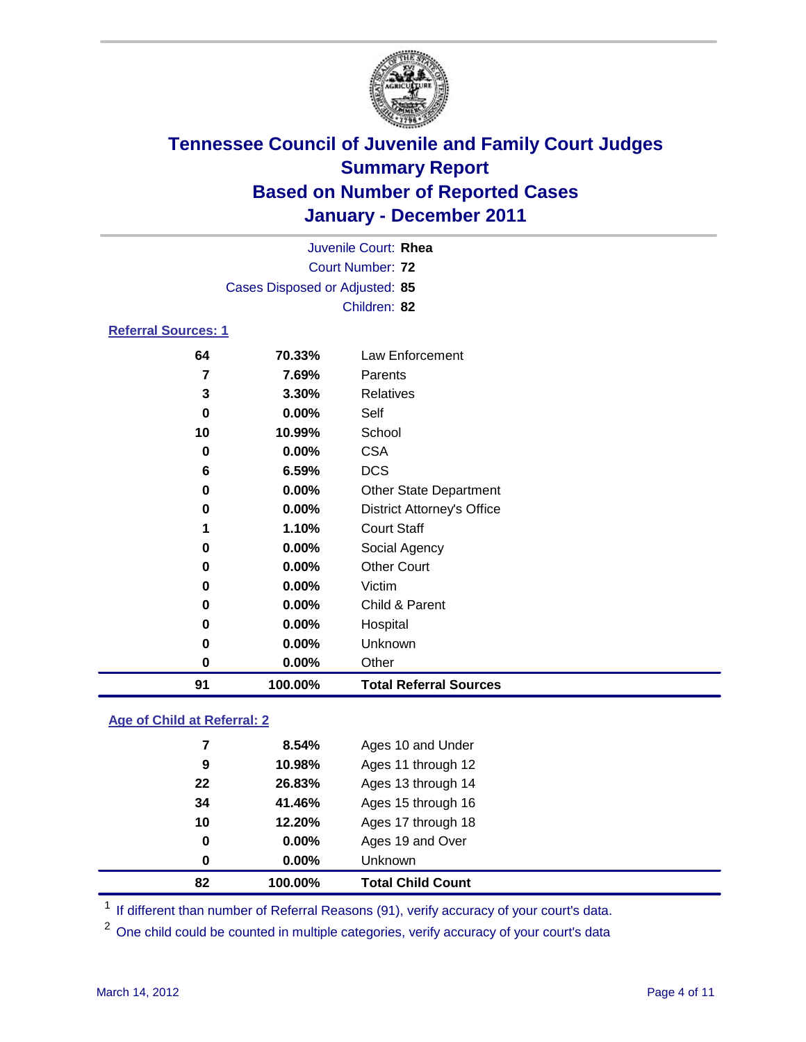

| Juvenile Court: Rhea       |                                |                                   |  |  |  |  |
|----------------------------|--------------------------------|-----------------------------------|--|--|--|--|
| Court Number: 72           |                                |                                   |  |  |  |  |
|                            | Cases Disposed or Adjusted: 85 |                                   |  |  |  |  |
|                            |                                | Children: 82                      |  |  |  |  |
| <b>Referral Sources: 1</b> |                                |                                   |  |  |  |  |
| 64                         | 70.33%                         | Law Enforcement                   |  |  |  |  |
| 7                          | 7.69%                          | Parents                           |  |  |  |  |
| 3                          | 3.30%                          | Relatives                         |  |  |  |  |
| 0                          | 0.00%                          | Self                              |  |  |  |  |
| 10                         | 10.99%                         | School                            |  |  |  |  |
| 0                          | $0.00\%$                       | <b>CSA</b>                        |  |  |  |  |
| 6                          | 6.59%                          | <b>DCS</b>                        |  |  |  |  |
| 0                          | 0.00%                          | <b>Other State Department</b>     |  |  |  |  |
| 0                          | 0.00%                          | <b>District Attorney's Office</b> |  |  |  |  |
| 1                          | 1.10%                          | <b>Court Staff</b>                |  |  |  |  |
| 0                          | $0.00\%$                       | Social Agency                     |  |  |  |  |
| 0                          | $0.00\%$                       | <b>Other Court</b>                |  |  |  |  |
| 0                          | 0.00%                          | Victim                            |  |  |  |  |
| 0                          | $0.00\%$                       | Child & Parent                    |  |  |  |  |
| 0                          | $0.00\%$                       | Hospital                          |  |  |  |  |

### **0.00%** Unknown **0.00%** Other **100.00% Total Referral Sources**

### **Age of Child at Referral: 2**

| 82 | 100.00%  | <b>Total Child Count</b> |
|----|----------|--------------------------|
| 0  | $0.00\%$ | Unknown                  |
| 0  | $0.00\%$ | Ages 19 and Over         |
| 10 | 12.20%   | Ages 17 through 18       |
| 34 | 41.46%   | Ages 15 through 16       |
| 22 | 26.83%   | Ages 13 through 14       |
| 9  | 10.98%   | Ages 11 through 12       |
| 7  | 8.54%    | Ages 10 and Under        |
|    |          |                          |

<sup>1</sup> If different than number of Referral Reasons (91), verify accuracy of your court's data.

<sup>2</sup> One child could be counted in multiple categories, verify accuracy of your court's data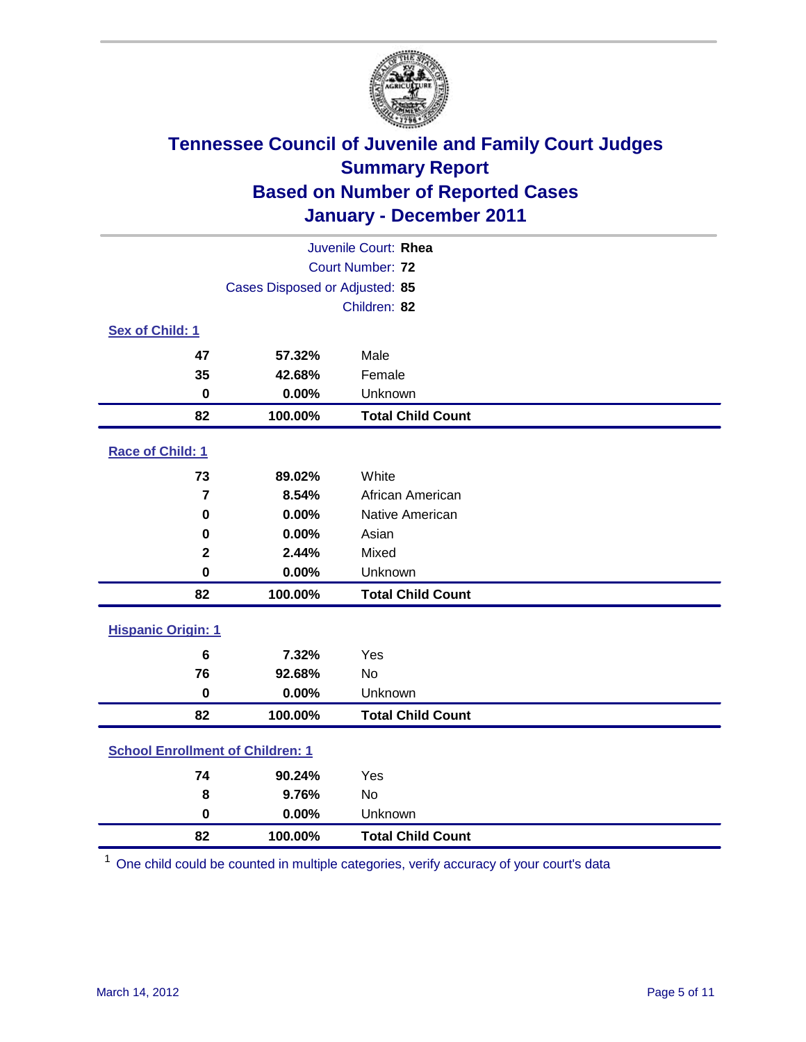

| Juvenile Court: Rhea                    |                                |                          |  |  |  |
|-----------------------------------------|--------------------------------|--------------------------|--|--|--|
|                                         | Court Number: 72               |                          |  |  |  |
|                                         | Cases Disposed or Adjusted: 85 |                          |  |  |  |
|                                         |                                | Children: 82             |  |  |  |
| Sex of Child: 1                         |                                |                          |  |  |  |
| 47                                      | 57.32%                         | Male                     |  |  |  |
| 35                                      | 42.68%                         | Female                   |  |  |  |
| $\mathbf 0$                             | 0.00%                          | Unknown                  |  |  |  |
| 82                                      | 100.00%                        | <b>Total Child Count</b> |  |  |  |
| Race of Child: 1                        |                                |                          |  |  |  |
| 73                                      | 89.02%                         | White                    |  |  |  |
| $\overline{7}$                          | 8.54%                          | African American         |  |  |  |
| $\mathbf 0$                             | 0.00%                          | Native American          |  |  |  |
| 0                                       | 0.00%                          | Asian                    |  |  |  |
| $\overline{\mathbf{2}}$                 | 2.44%                          | Mixed                    |  |  |  |
| $\mathbf 0$                             | 0.00%                          | Unknown                  |  |  |  |
| 82                                      | 100.00%                        | <b>Total Child Count</b> |  |  |  |
| <b>Hispanic Origin: 1</b>               |                                |                          |  |  |  |
| $6\phantom{1}$                          | 7.32%                          | Yes                      |  |  |  |
| 76                                      | 92.68%                         | No                       |  |  |  |
| $\mathbf 0$                             | 0.00%                          | Unknown                  |  |  |  |
| 82                                      | 100.00%                        | <b>Total Child Count</b> |  |  |  |
| <b>School Enrollment of Children: 1</b> |                                |                          |  |  |  |
| 74                                      | 90.24%                         | Yes                      |  |  |  |
| 8                                       | 9.76%                          | No                       |  |  |  |
| $\mathbf 0$                             | 0.00%                          | Unknown                  |  |  |  |
| 82                                      | 100.00%                        | <b>Total Child Count</b> |  |  |  |

One child could be counted in multiple categories, verify accuracy of your court's data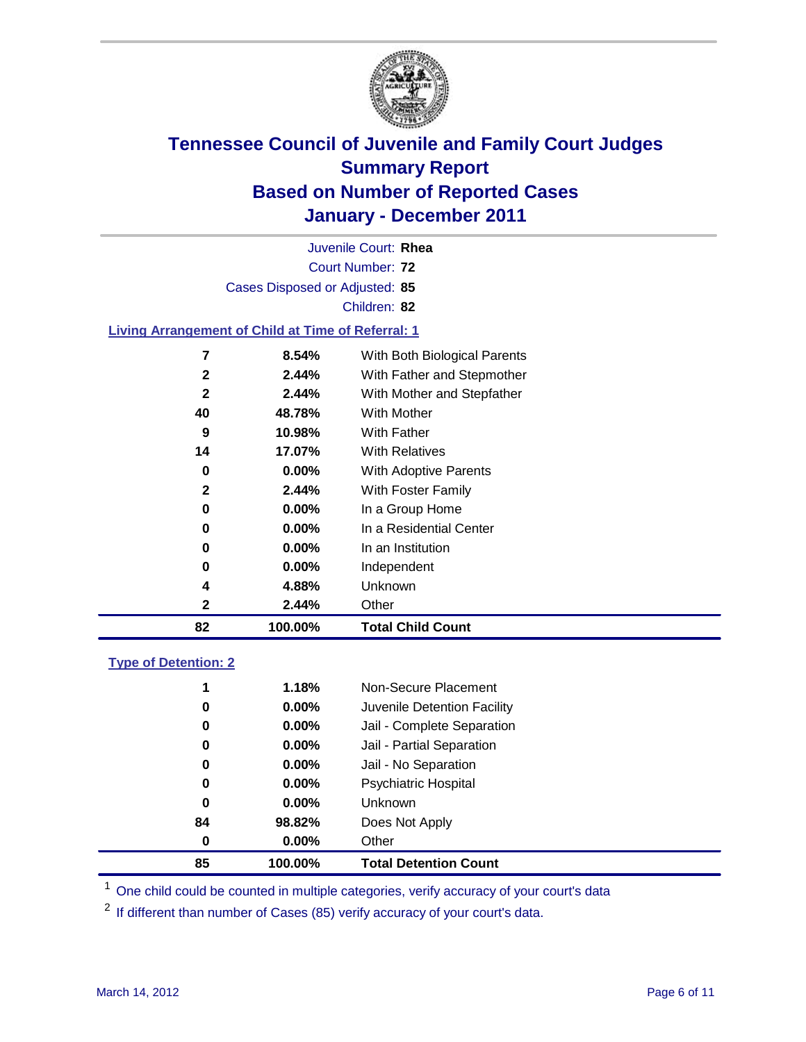

Court Number: **72** Juvenile Court: **Rhea** Cases Disposed or Adjusted: **85** Children: **82 Living Arrangement of Child at Time of Referral: 1 8.54%** With Both Biological Parents **2.44%** With Father and Stepmother **2.44%** With Mother and Stepfather

| 82 | 100.00%  | <b>Total Child Count</b>  |
|----|----------|---------------------------|
| 2  | 2.44%    | Other                     |
| 4  | 4.88%    | Unknown                   |
| 0  | 0.00%    | Independent               |
| 0  | $0.00\%$ | In an Institution         |
| 0  | $0.00\%$ | In a Residential Center   |
| 0  | $0.00\%$ | In a Group Home           |
| 2  | 2.44%    | <b>With Foster Family</b> |
| 0  | $0.00\%$ | With Adoptive Parents     |
| 14 | 17.07%   | <b>With Relatives</b>     |
| 9  | 10.98%   | <b>With Father</b>        |
| 40 | 48.78%   | With Mother               |
|    |          |                           |

### **Type of Detention: 2**

| 85 | 100.00%  | <b>Total Detention Count</b> |  |
|----|----------|------------------------------|--|
| 0  | $0.00\%$ | Other                        |  |
| 84 | 98.82%   | Does Not Apply               |  |
| 0  | $0.00\%$ | <b>Unknown</b>               |  |
| 0  | $0.00\%$ | <b>Psychiatric Hospital</b>  |  |
| 0  | 0.00%    | Jail - No Separation         |  |
| 0  | $0.00\%$ | Jail - Partial Separation    |  |
| 0  | $0.00\%$ | Jail - Complete Separation   |  |
| 0  | $0.00\%$ | Juvenile Detention Facility  |  |
| 1  | 1.18%    | Non-Secure Placement         |  |
|    |          |                              |  |

<sup>1</sup> One child could be counted in multiple categories, verify accuracy of your court's data

<sup>2</sup> If different than number of Cases (85) verify accuracy of your court's data.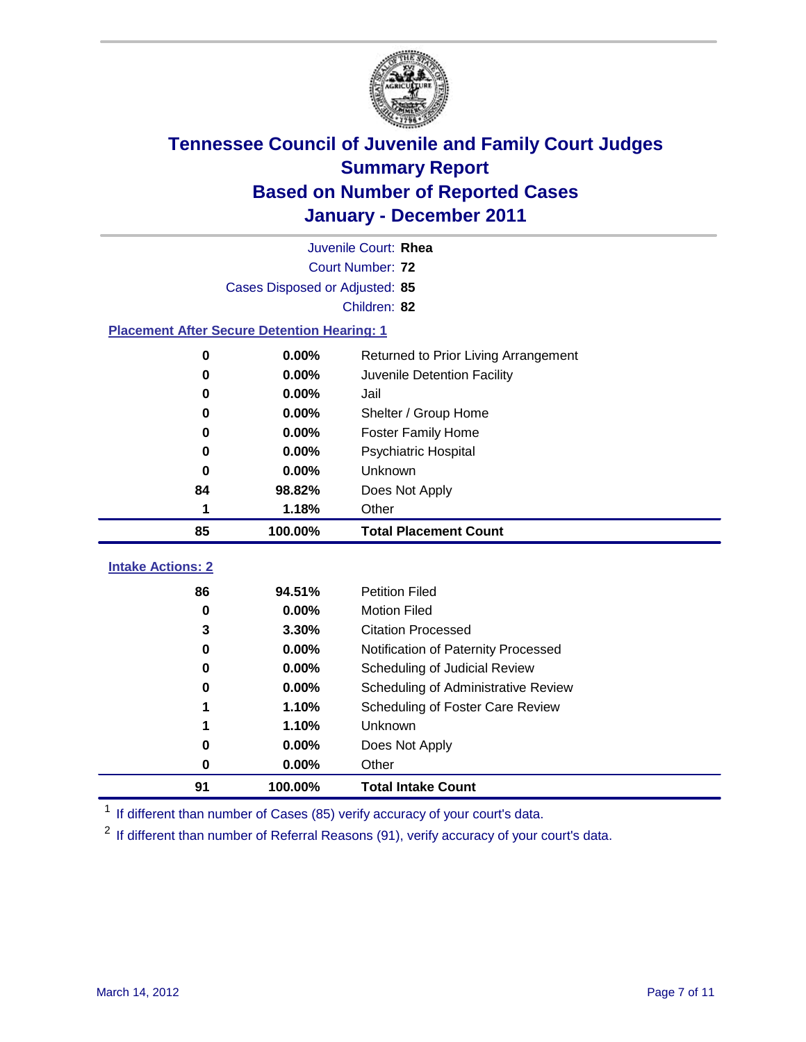

|                                                    | Juvenile Court: Rhea           |                                      |  |  |  |
|----------------------------------------------------|--------------------------------|--------------------------------------|--|--|--|
|                                                    | Court Number: 72               |                                      |  |  |  |
|                                                    | Cases Disposed or Adjusted: 85 |                                      |  |  |  |
|                                                    | Children: 82                   |                                      |  |  |  |
| <b>Placement After Secure Detention Hearing: 1</b> |                                |                                      |  |  |  |
| $\mathbf 0$                                        | 0.00%                          | Returned to Prior Living Arrangement |  |  |  |
| 0                                                  | 0.00%                          | Juvenile Detention Facility          |  |  |  |
| 0                                                  | 0.00%                          | Jail                                 |  |  |  |
| 0                                                  | 0.00%                          | Shelter / Group Home                 |  |  |  |
| 0                                                  | 0.00%                          | <b>Foster Family Home</b>            |  |  |  |
| 0                                                  | 0.00%                          | Psychiatric Hospital                 |  |  |  |
| 0                                                  | 0.00%                          | Unknown                              |  |  |  |
| 84                                                 | 98.82%                         | Does Not Apply                       |  |  |  |
| 1                                                  | 1.18%                          | Other                                |  |  |  |
| 85                                                 | 100.00%                        | <b>Total Placement Count</b>         |  |  |  |
| <b>Intake Actions: 2</b>                           |                                |                                      |  |  |  |
| 86                                                 | 94.51%                         | <b>Petition Filed</b>                |  |  |  |
| $\bf{0}$                                           |                                |                                      |  |  |  |
|                                                    | 0.00%                          | <b>Motion Filed</b>                  |  |  |  |
| 3                                                  | 3.30%                          | <b>Citation Processed</b>            |  |  |  |
| 0                                                  | 0.00%                          | Notification of Paternity Processed  |  |  |  |
| $\mathbf 0$                                        | 0.00%                          | Scheduling of Judicial Review        |  |  |  |
| 0                                                  | 0.00%                          | Scheduling of Administrative Review  |  |  |  |
| 1                                                  | 1.10%                          | Scheduling of Foster Care Review     |  |  |  |
| 1                                                  | 1.10%                          | Unknown                              |  |  |  |
| 0                                                  | 0.00%                          | Does Not Apply                       |  |  |  |
| 0                                                  | 0.00%                          | Other                                |  |  |  |

<sup>1</sup> If different than number of Cases (85) verify accuracy of your court's data.

<sup>2</sup> If different than number of Referral Reasons (91), verify accuracy of your court's data.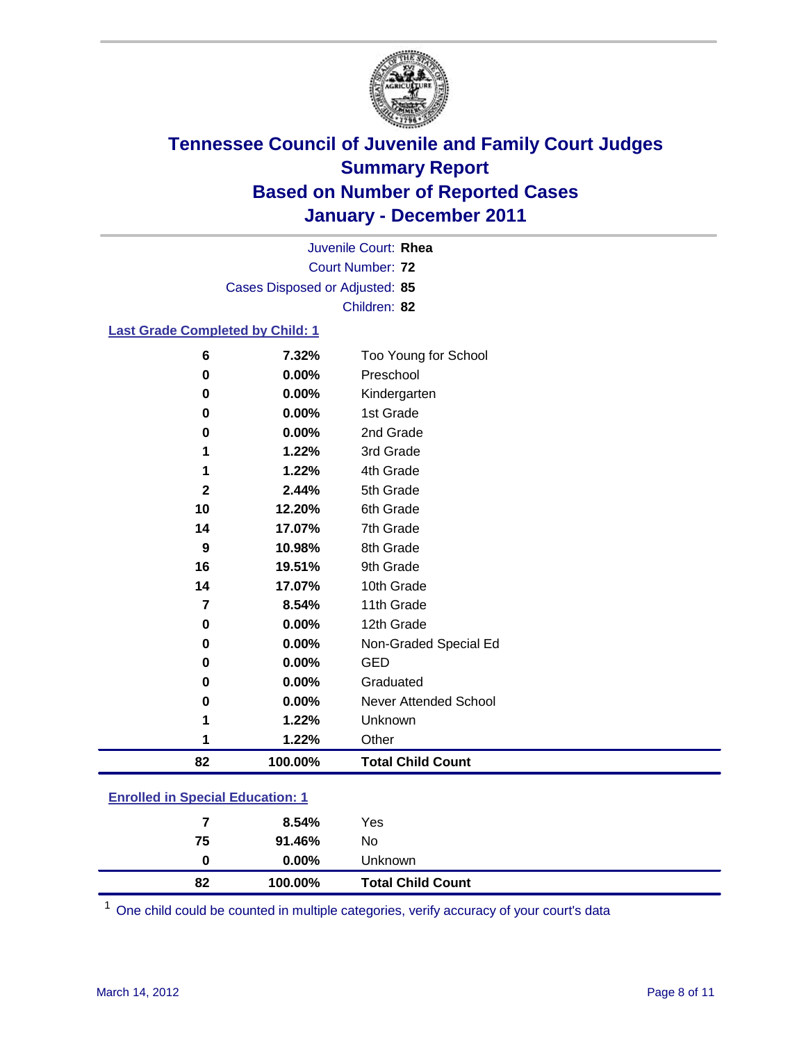

Court Number: **72** Juvenile Court: **Rhea** Cases Disposed or Adjusted: **85** Children: **82**

### **Last Grade Completed by Child: 1**

| 6                                | 7.32%   | Too Young for School         |  |  |
|----------------------------------|---------|------------------------------|--|--|
| 0                                | 0.00%   | Preschool                    |  |  |
| 0                                | 0.00%   | Kindergarten                 |  |  |
| 0                                | 0.00%   | 1st Grade                    |  |  |
| $\bf{0}$                         | 0.00%   | 2nd Grade                    |  |  |
| 1                                | 1.22%   | 3rd Grade                    |  |  |
| 1                                | 1.22%   | 4th Grade                    |  |  |
| $\overline{2}$                   | 2.44%   | 5th Grade                    |  |  |
| 10                               | 12.20%  | 6th Grade                    |  |  |
| 14                               | 17.07%  | 7th Grade                    |  |  |
| 9                                | 10.98%  | 8th Grade                    |  |  |
| 16                               | 19.51%  | 9th Grade                    |  |  |
| 14                               | 17.07%  | 10th Grade                   |  |  |
| $\overline{7}$                   | 8.54%   | 11th Grade                   |  |  |
| 0                                | 0.00%   | 12th Grade                   |  |  |
| 0                                | 0.00%   | Non-Graded Special Ed        |  |  |
| 0                                | 0.00%   | <b>GED</b>                   |  |  |
| $\bf{0}$                         | 0.00%   | Graduated                    |  |  |
| 0                                | 0.00%   | <b>Never Attended School</b> |  |  |
| 1                                | 1.22%   | Unknown                      |  |  |
| 1                                | 1.22%   | Other                        |  |  |
| 82                               | 100.00% | <b>Total Child Count</b>     |  |  |
| Enrolled in Cossial Education: 1 |         |                              |  |  |

#### **Enrolled in Special Education: 1**

| 82 | 100.00%  | <b>Total Child Count</b> |
|----|----------|--------------------------|
| 0  | $0.00\%$ | <b>Unknown</b>           |
| 75 | 91.46%   | No                       |
| 7  | 8.54%    | Yes                      |
|    |          |                          |

One child could be counted in multiple categories, verify accuracy of your court's data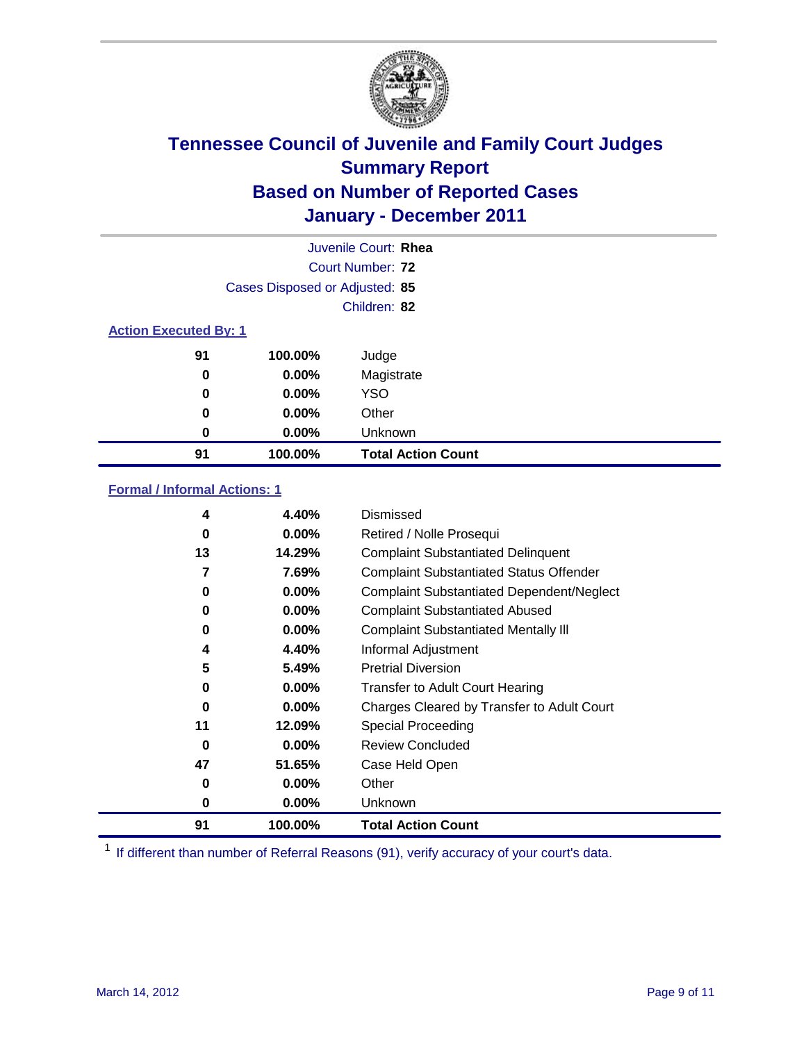

|          | Juvenile Court: Rhea           |                           |  |  |  |  |
|----------|--------------------------------|---------------------------|--|--|--|--|
|          |                                | Court Number: 72          |  |  |  |  |
|          | Cases Disposed or Adjusted: 85 |                           |  |  |  |  |
|          | Children: 82                   |                           |  |  |  |  |
|          | <b>Action Executed By: 1</b>   |                           |  |  |  |  |
| 91       | 100.00%                        | Judge                     |  |  |  |  |
| $\bf{0}$ | $0.00\%$                       | Magistrate                |  |  |  |  |
| 0        | $0.00\%$                       | <b>YSO</b>                |  |  |  |  |
| 0        | 0.00%                          | Other                     |  |  |  |  |
| 0        | 0.00%                          | Unknown                   |  |  |  |  |
| 91       | 100.00%                        | <b>Total Action Count</b> |  |  |  |  |

### **Formal / Informal Actions: 1**

| 4        | 4.40%    | Dismissed                                        |
|----------|----------|--------------------------------------------------|
| 0        | $0.00\%$ | Retired / Nolle Prosequi                         |
| 13       | 14.29%   | <b>Complaint Substantiated Delinquent</b>        |
| 7        | 7.69%    | <b>Complaint Substantiated Status Offender</b>   |
| 0        | $0.00\%$ | <b>Complaint Substantiated Dependent/Neglect</b> |
| 0        | $0.00\%$ | <b>Complaint Substantiated Abused</b>            |
| 0        | $0.00\%$ | <b>Complaint Substantiated Mentally III</b>      |
| 4        | 4.40%    | Informal Adjustment                              |
| 5        | 5.49%    | <b>Pretrial Diversion</b>                        |
| 0        | $0.00\%$ | <b>Transfer to Adult Court Hearing</b>           |
| 0        | $0.00\%$ | Charges Cleared by Transfer to Adult Court       |
| 11       | 12.09%   | Special Proceeding                               |
| $\bf{0}$ | $0.00\%$ | <b>Review Concluded</b>                          |
| 47       | 51.65%   | Case Held Open                                   |
| 0        | $0.00\%$ | Other                                            |
| 0        | $0.00\%$ | <b>Unknown</b>                                   |
| 91       | 100.00%  | <b>Total Action Count</b>                        |

<sup>1</sup> If different than number of Referral Reasons (91), verify accuracy of your court's data.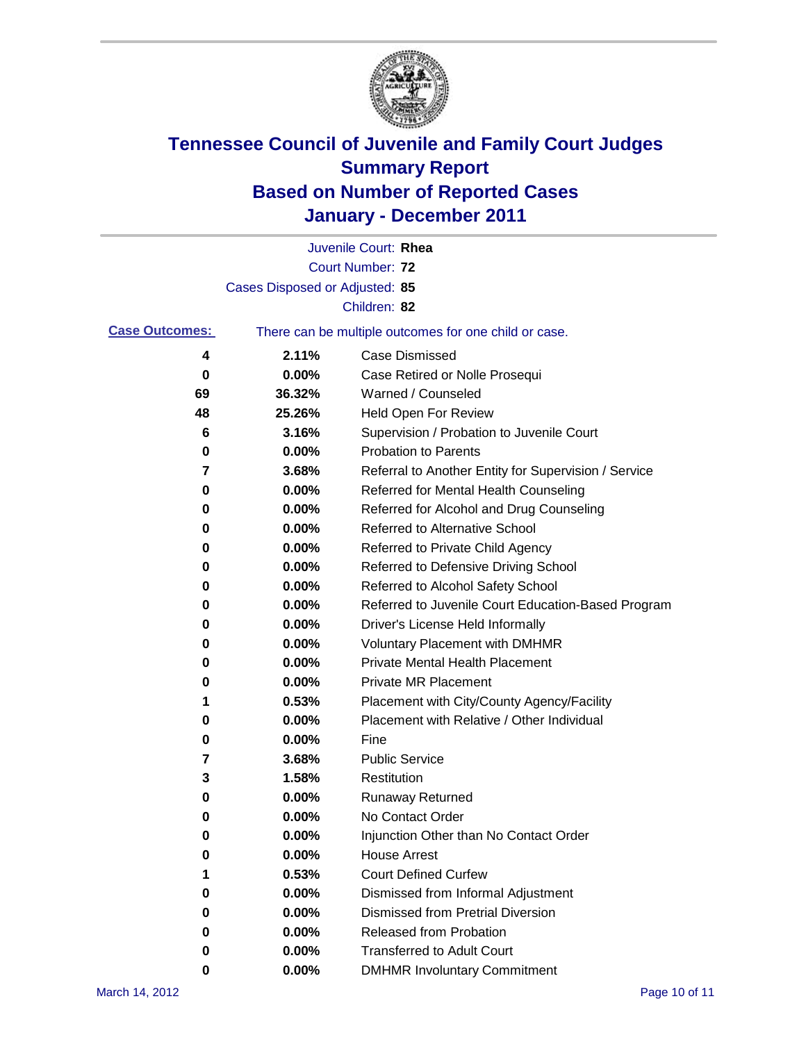

|                       |                                | Juvenile Court: Rhea                                  |
|-----------------------|--------------------------------|-------------------------------------------------------|
|                       |                                | <b>Court Number: 72</b>                               |
|                       | Cases Disposed or Adjusted: 85 |                                                       |
|                       |                                | Children: 82                                          |
| <b>Case Outcomes:</b> |                                | There can be multiple outcomes for one child or case. |
| 4                     | 2.11%                          | <b>Case Dismissed</b>                                 |
| 0                     | 0.00%                          | Case Retired or Nolle Prosequi                        |
| 69                    | 36.32%                         | Warned / Counseled                                    |
| 48                    | 25.26%                         | Held Open For Review                                  |
| 6                     | 3.16%                          | Supervision / Probation to Juvenile Court             |
| 0                     | 0.00%                          | <b>Probation to Parents</b>                           |
| 7                     | 3.68%                          | Referral to Another Entity for Supervision / Service  |
| 0                     | 0.00%                          | Referred for Mental Health Counseling                 |
| 0                     | 0.00%                          | Referred for Alcohol and Drug Counseling              |
| 0                     | 0.00%                          | Referred to Alternative School                        |
| 0                     | 0.00%                          | Referred to Private Child Agency                      |
| 0                     | 0.00%                          | Referred to Defensive Driving School                  |
| 0                     | 0.00%                          | Referred to Alcohol Safety School                     |
| 0                     | 0.00%                          | Referred to Juvenile Court Education-Based Program    |
| 0                     | 0.00%                          | Driver's License Held Informally                      |
| 0                     | 0.00%                          | Voluntary Placement with DMHMR                        |
| 0                     | 0.00%                          | <b>Private Mental Health Placement</b>                |
| 0                     | 0.00%                          | <b>Private MR Placement</b>                           |
| 1                     | 0.53%                          | Placement with City/County Agency/Facility            |
| 0                     | 0.00%                          | Placement with Relative / Other Individual            |
| 0                     | 0.00%                          | Fine                                                  |
| 7                     | 3.68%                          | <b>Public Service</b>                                 |
| 3                     | 1.58%                          | Restitution                                           |
| 0                     | 0.00%                          | Runaway Returned                                      |
| 0                     | 0.00%                          | No Contact Order                                      |
| 0                     | 0.00%                          | Injunction Other than No Contact Order                |
| 0                     | 0.00%                          | <b>House Arrest</b>                                   |
| 1                     | 0.53%                          | <b>Court Defined Curfew</b>                           |
| 0                     | 0.00%                          | Dismissed from Informal Adjustment                    |
| 0                     | 0.00%                          | <b>Dismissed from Pretrial Diversion</b>              |
| 0                     | 0.00%                          | Released from Probation                               |
| 0                     | 0.00%                          | <b>Transferred to Adult Court</b>                     |
| 0                     | 0.00%                          | <b>DMHMR Involuntary Commitment</b>                   |